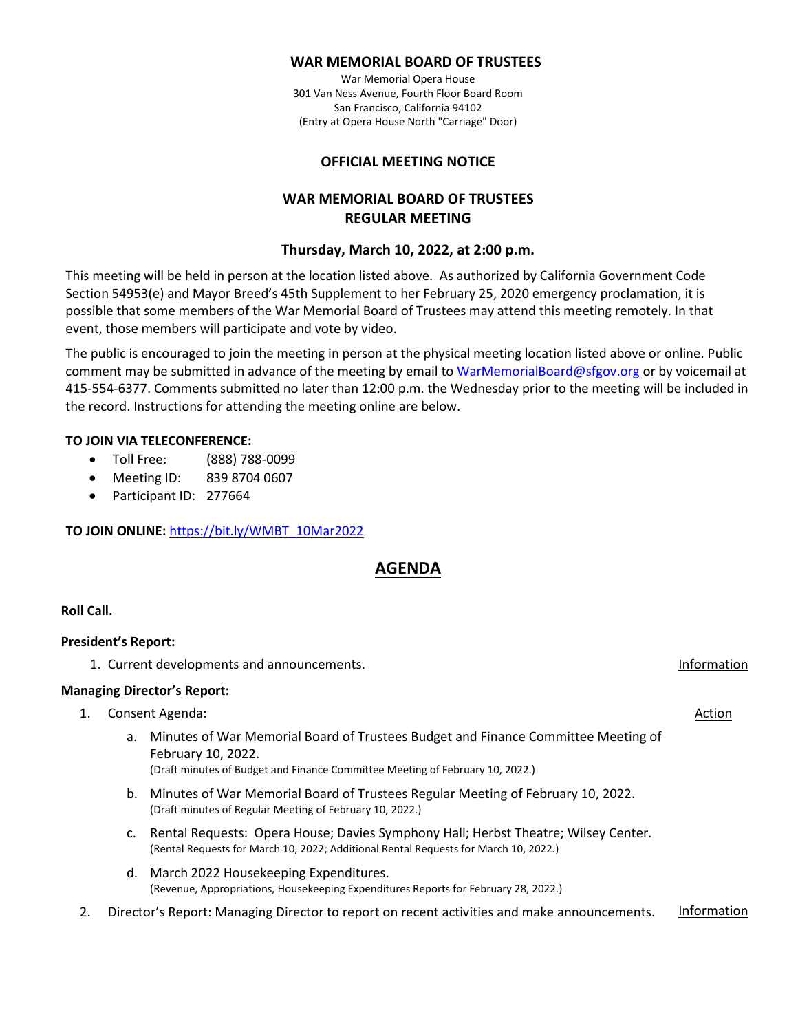### **WAR MEMORIAL BOARD OF TRUSTEES**

War Memorial Opera House 301 Van Ness Avenue, Fourth Floor Board Room San Francisco, California 94102 (Entry at Opera House North "Carriage" Door)

## **OFFICIAL MEETING NOTICE**

# **WAR MEMORIAL BOARD OF TRUSTEES REGULAR MEETING**

# **Thursday, March 10, 2022, at 2:00 p.m.**

This meeting will be held in person at the location listed above. As authorized by California Government Code Section 54953(e) and Mayor Breed's 45th Supplement to her February 25, 2020 emergency proclamation, it is possible that some members of the War Memorial Board of Trustees may attend this meeting remotely. In that event, those members will participate and vote by video.

The public is encouraged to join the meeting in person at the physical meeting location listed above or online. Public comment may be submitted in advance of the meeting by email t[o WarMemorialBoard@sfgov.org](mailto:WarMemorialBoard@sfgov.org) or by voicemail at 415-554-6377. Comments submitted no later than 12:00 p.m. the Wednesday prior to the meeting will be included in the record. Instructions for attending the meeting online are below.

## **TO JOIN VIA TELECONFERENCE:**

- Toll Free: (888) 788-0099
- Meeting ID: 839 8704 0607
- Participant ID: 277664

## **TO JOIN ONLINE:** [https://bit.ly/WMBT\\_10Mar2022](https://bit.ly/WMBT_10Mar2022)

# **AGENDA**

## **Roll Call.**

## **President's Report:**

1. Current developments and announcements. Information

## **Managing Director's Report:**

- 1. Consent Agenda: Action and Action and Action and Action and Action and Action and Action and Action and Action
	- a. Minutes of War Memorial Board of Trustees Budget and Finance Committee Meeting of February 10, 2022. (Draft minutes of Budget and Finance Committee Meeting of February 10, 2022.)
	- b. Minutes of War Memorial Board of Trustees Regular Meeting of February 10, 2022. (Draft minutes of Regular Meeting of February 10, 2022.)
	- c. Rental Requests: Opera House; Davies Symphony Hall; Herbst Theatre; Wilsey Center. (Rental Requests for March 10, 2022; Additional Rental Requests for March 10, 2022.)
	- d. March 2022 Housekeeping Expenditures. (Revenue, Appropriations, Housekeeping Expenditures Reports for February 28, 2022.)
- 2. Director's Report: Managing Director to report on recent activities and make announcements. Information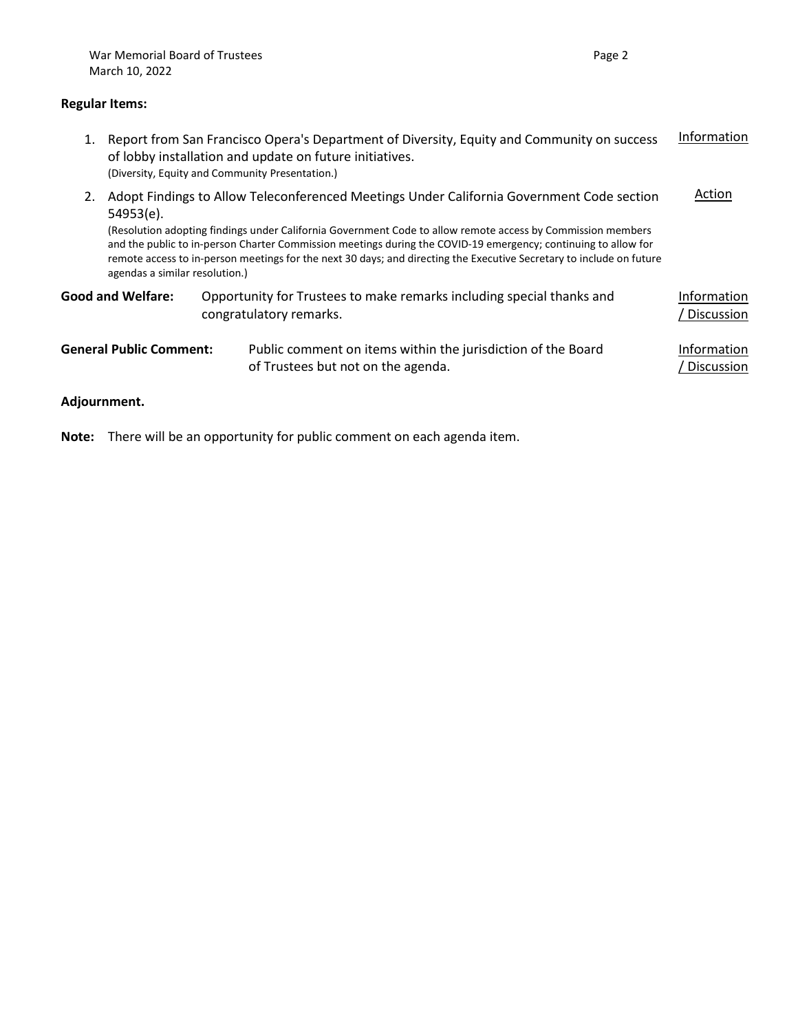### **Regular Items:**

1. Report from San Francisco Opera's Department of Diversity, Equity and Community on success of lobby installation and update on future initiatives. (Diversity, Equity and Community Presentation.) Information 2. Adopt Findings to Allow Teleconferenced Meetings Under California Government Code section 54953(e). (Resolution adopting findings under California Government Code to allow remote access by Commission members and the public to in-person Charter Commission meetings during the COVID-19 emergency; continuing to allow for remote access to in-person meetings for the next 30 days; and directing the Executive Secretary to include on future agendas a similar resolution.) Action

| <b>Good and Welfare:</b>       | Opportunity for Trustees to make remarks including special thanks and<br>congratulatory remarks.   | Information<br>/ Discussion |
|--------------------------------|----------------------------------------------------------------------------------------------------|-----------------------------|
| <b>General Public Comment:</b> | Public comment on items within the jurisdiction of the Board<br>of Trustees but not on the agenda. | Information<br>/ Discussion |

### **Adjournment.**

**Note:** There will be an opportunity for public comment on each agenda item.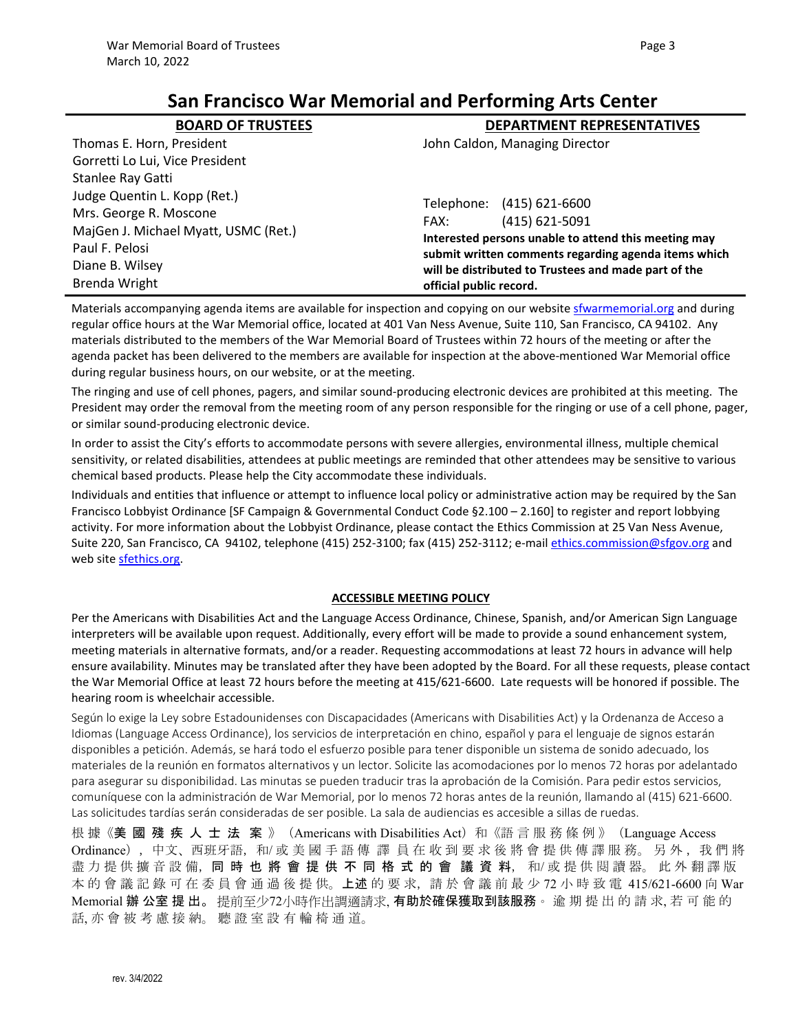# **San Francisco War Memorial and Performing Arts Center**

| <b>BOARD OF TRUSTEES</b>             | <b>DEPARTMENT REPRESENTATIVES</b>                                                                                                                                                               |  |
|--------------------------------------|-------------------------------------------------------------------------------------------------------------------------------------------------------------------------------------------------|--|
| Thomas E. Horn, President            | John Caldon, Managing Director                                                                                                                                                                  |  |
| Gorretti Lo Lui, Vice President      |                                                                                                                                                                                                 |  |
| Stanlee Ray Gatti                    |                                                                                                                                                                                                 |  |
| Judge Quentin L. Kopp (Ret.)         | Telephone: (415) 621-6600                                                                                                                                                                       |  |
| Mrs. George R. Moscone               | $(415) 621 - 5091$<br>FAX:                                                                                                                                                                      |  |
| MajGen J. Michael Myatt, USMC (Ret.) | Interested persons unable to attend this meeting may<br>submit written comments regarding agenda items which<br>will be distributed to Trustees and made part of the<br>official public record. |  |
| Paul F. Pelosi                       |                                                                                                                                                                                                 |  |
| Diane B. Wilsey                      |                                                                                                                                                                                                 |  |
| <b>Brenda Wright</b>                 |                                                                                                                                                                                                 |  |

Materials accompanying agenda items are available for inspection and copying on our website [sfwarmemorial.org](https://sfwarmemorial.org/) and during regular office hours at the War Memorial office, located at 401 Van Ness Avenue, Suite 110, San Francisco, CA 94102. Any materials distributed to the members of the War Memorial Board of Trustees within 72 hours of the meeting or after the agenda packet has been delivered to the members are available for inspection at the above-mentioned War Memorial office during regular business hours, on our website, or at the meeting.

The ringing and use of cell phones, pagers, and similar sound-producing electronic devices are prohibited at this meeting. The President may order the removal from the meeting room of any person responsible for the ringing or use of a cell phone, pager, or similar sound-producing electronic device.

In order to assist the City's efforts to accommodate persons with severe allergies, environmental illness, multiple chemical sensitivity, or related disabilities, attendees at public meetings are reminded that other attendees may be sensitive to various chemical based products. Please help the City accommodate these individuals.

Individuals and entities that influence or attempt to influence local policy or administrative action may be required by the San Francisco Lobbyist Ordinance [SF Campaign & Governmental Conduct Code §2.100 – 2.160] to register and report lobbying activity. For more information about the Lobbyist Ordinance, please contact the Ethics Commission at 25 Van Ness Avenue, Suite 220, San Francisco, CA 94102, telephone (415) 252-3100; fax (415) 252-3112; e-mail [ethics.commission@sfgov.org](mailto:ethics.commission@sfgov.org) and web site [sfethics.org.](https://sfethics.org/)

## **ACCESSIBLE MEETING POLICY**

Per the Americans with Disabilities Act and the Language Access Ordinance, Chinese, Spanish, and/or American Sign Language interpreters will be available upon request. Additionally, every effort will be made to provide a sound enhancement system, meeting materials in alternative formats, and/or a reader. Requesting accommodations at least 72 hours in advance will help ensure availability. Minutes may be translated after they have been adopted by the Board. For all these requests, please contact the War Memorial Office at least 72 hours before the meeting at 415/621-6600. Late requests will be honored if possible. The hearing room is wheelchair accessible.

Según lo exige la Ley sobre Estadounidenses con Discapacidades (Americans with Disabilities Act) y la Ordenanza de Acceso a Idiomas (Language Access Ordinance), los servicios de interpretación en chino, español y para el lenguaje de signos estarán disponibles a petición. Además, se hará todo el esfuerzo posible para tener disponible un sistema de sonido adecuado, los materiales de la reunión en formatos alternativos y un lector. Solicite las acomodaciones por lo menos 72 horas por adelantado para asegurar su disponibilidad. Las minutas se pueden traducir tras la aprobación de la Comisión. Para pedir estos servicios, comuníquese con la administración de War Memorial, por lo menos 72 horas antes de la reunión, llamando al (415) 621-6600. Las solicitudes tardías serán consideradas de ser posible. La sala de audiencias es accesible a sillas de ruedas.

根 據《美 國 殘 疾 人 士 法 案 》(Americans with Disabilities Act)和《語 言 服 務 條 例 》(Language Access Ordinance),中文、西班牙語,和/ 或 美 國 手 語 傳 譯 員 在 收 到 要 求 後 將 會 提 供 傳 譯 服 務。 另 外 , 我 們 將 盡 力 提 供 擴 音 設 備,同 時 也 將 會 提 供 不 同 格 式 的 會 議 資 料,和/ 或 提 供 閱 讀 器。 此 外 翻 譯 版 本 的 會 議 記 錄 可 在 委 員 會 通 過 後 提 供。**上述** 的 要 求,請 於 會 議 前 最 少 72 小 時 致 電 415/621-6600 向 War Memorial 辦 公室 提 出。 提前至少72小時作出調適請求, **有助於確保獲取到該服務**。 逾 期 提 出 的 請 求, 若 可 能 的 話, 亦 會 被 考 慮 接 納。 聽 證 室 設 有 輪 椅 通 道。